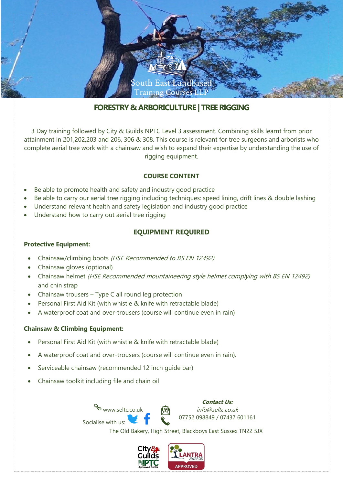

# **FORESTRY & ARBORICULTURE | TREE RIGGING**

3 Day training followed by City & Guilds NPTC Level 3 assessment. Combining skills learnt from prior attainment in 201,202,203 and 206, 306 & 308. This course is relevant for tree surgeons and arborists who complete aerial tree work with a chainsaw and wish to expand their expertise by understanding the use of rigging equipment.

## **COURSE CONTENT**

- Be able to promote health and safety and industry good practice
- Be able to carry our aerial tree rigging including techniques: speed lining, drift lines & double lashing
- Understand relevant health and safety legislation and industry good practice
- Understand how to carry out aerial tree rigging

## **EQUIPMENT REQUIRED**

#### **Protective Equipment:**

- Chainsaw/climbing boots (HSE Recommended to BS EN 12492)
- Chainsaw gloves (optional)
- Chainsaw helmet (HSE Recommended mountaineering style helmet complying with BS EN 12492) and chin strap
- Chainsaw trousers Type C all round leg protection
- Personal First Aid Kit (with whistle & knife with retractable blade)
- A waterproof coat and over-trousers (course will continue even in rain)

#### **Chainsaw & Climbing Equipment:**

- Personal First Aid Kit (with whistle & knife with retractable blade)
- A waterproof coat and over-trousers (course will continue even in rain).
- Serviceable chainsaw (recommended 12 inch guide bar)
- Chainsaw toolkit including file and chain oil

www.seltc.co.uk Socialise with us:

**Contact Us:** info@seltc.co.uk 07752 098849 / 07437 601161

The Old Bakery, High Street, Blackboys East Sussex TN22 5JX